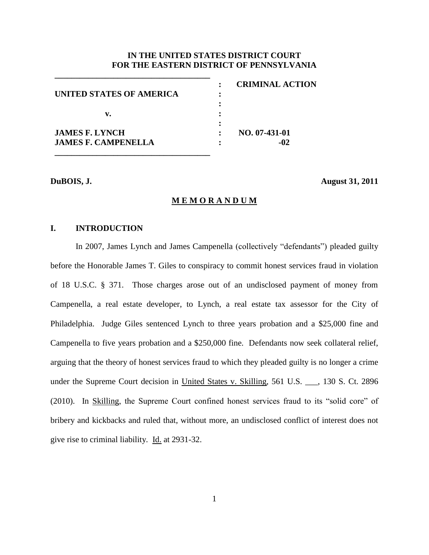#### **IN THE UNITED STATES DISTRICT COURT FOR THE EASTERN DISTRICT OF PENNSYLVANIA**

|                            | <b>CRIMINAL ACTION</b> |
|----------------------------|------------------------|
| UNITED STATES OF AMERICA   |                        |
|                            |                        |
| v.                         |                        |
| <b>JAMES F. LYNCH</b>      | NO. 07-431-01          |
| <b>JAMES F. CAMPENELLA</b> | -02                    |
|                            |                        |

**\_\_\_\_\_\_\_\_\_\_\_\_\_\_\_\_\_\_\_\_\_\_\_\_\_\_\_\_\_\_\_\_\_\_\_\_\_**

**DuBOIS, J. August 31, 2011**

#### **M E M O R A N D U M**

# **I. INTRODUCTION**

In 2007, James Lynch and James Campenella (collectively "defendants") pleaded guilty before the Honorable James T. Giles to conspiracy to commit honest services fraud in violation of 18 U.S.C. § 371. Those charges arose out of an undisclosed payment of money from Campenella, a real estate developer, to Lynch, a real estate tax assessor for the City of Philadelphia. Judge Giles sentenced Lynch to three years probation and a \$25,000 fine and Campenella to five years probation and a \$250,000 fine. Defendants now seek collateral relief, arguing that the theory of honest services fraud to which they pleaded guilty is no longer a crime under the Supreme Court decision in United States v. Skilling, 561 U.S. \_\_\_, 130 S. Ct. 2896 (2010). In Skilling, the Supreme Court confined honest services fraud to its "solid core" of bribery and kickbacks and ruled that, without more, an undisclosed conflict of interest does not give rise to criminal liability. Id. at 2931-32.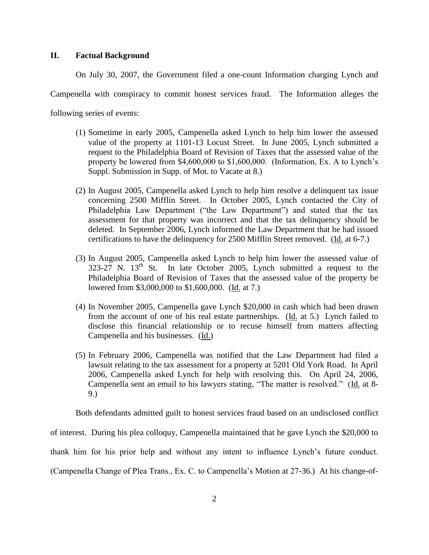#### **II. Factual Background**

On July 30, 2007, the Government filed a one-count Information charging Lynch and

Campenella with conspiracy to commit honest services fraud. The Information alleges the

following series of events:

- (1) Sometime in early 2005, Campenella asked Lynch to help him lower the assessed value of the property at 1101-13 Locust Street. In June 2005, Lynch submitted a request to the Philadelphia Board of Revision of Taxes that the assessed value of the property be lowered from \$4,600,000 to \$1,600,000. (Information, Ex. A to Lynch"s Suppl. Submission in Supp. of Mot. to Vacate at 8.)
- (2) In August 2005, Campenella asked Lynch to help him resolve a delinquent tax issue concerning 2500 Mifflin Street. In October 2005, Lynch contacted the City of Philadelphia Law Department ("the Law Department") and stated that the tax assessment for that property was incorrect and that the tax delinquency should be deleted. In September 2006, Lynch informed the Law Department that he had issued certifications to have the delinquency for 2500 Mifflin Street removed. (Id. at 6-7.)
- (3) In August 2005, Campenella asked Lynch to help him lower the assessed value of 323-27 N.  $13<sup>th</sup>$  St. In late October 2005, Lynch submitted a request to the Philadelphia Board of Revision of Taxes that the assessed value of the property be lowered from \$3,000,000 to \$1,600,000. (Id. at 7.)
- (4) In November 2005, Campenella gave Lynch \$20,000 in cash which had been drawn from the account of one of his real estate partnerships. (Id. at 5.) Lynch failed to disclose this financial relationship or to recuse himself from matters affecting Campenella and his businesses. (Id.)
- (5) In February 2006, Campenella was notified that the Law Department had filed a lawsuit relating to the tax assessment for a property at 5201 Old York Road. In April 2006, Campenella asked Lynch for help with resolving this. On April 24, 2006, Campenella sent an email to his lawyers stating, "The matter is resolved." (Id. at 8-9.)

Both defendants admitted guilt to honest services fraud based on an undisclosed conflict

of interest. During his plea colloquy, Campenella maintained that he gave Lynch the \$20,000 to

thank him for his prior help and without any intent to influence Lynch"s future conduct.

(Campenella Change of Plea Trans., Ex. C. to Campenella"s Motion at 27-36.) At his change-of-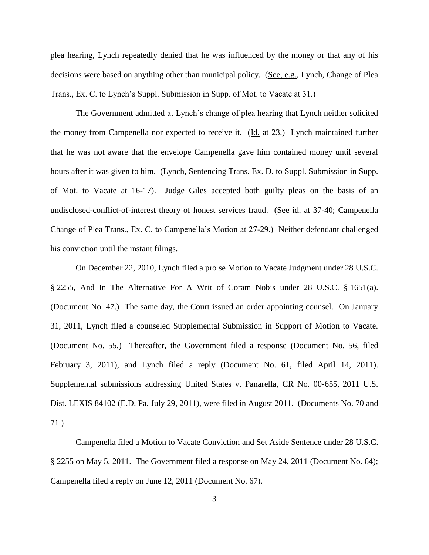plea hearing, Lynch repeatedly denied that he was influenced by the money or that any of his decisions were based on anything other than municipal policy. (See, e.g., Lynch, Change of Plea Trans., Ex. C. to Lynch"s Suppl. Submission in Supp. of Mot. to Vacate at 31.)

The Government admitted at Lynch"s change of plea hearing that Lynch neither solicited the money from Campenella nor expected to receive it. (Id. at 23.) Lynch maintained further that he was not aware that the envelope Campenella gave him contained money until several hours after it was given to him. (Lynch, Sentencing Trans. Ex. D. to Suppl. Submission in Supp. of Mot. to Vacate at 16-17). Judge Giles accepted both guilty pleas on the basis of an undisclosed-conflict-of-interest theory of honest services fraud. (See id. at 37-40; Campenella Change of Plea Trans., Ex. C. to Campenella"s Motion at 27-29.) Neither defendant challenged his conviction until the instant filings.

On December 22, 2010, Lynch filed a pro se Motion to Vacate Judgment under 28 U.S.C. § 2255, And In The Alternative For A Writ of Coram Nobis under 28 U.S.C. § 1651(a). (Document No. 47.) The same day, the Court issued an order appointing counsel. On January 31, 2011, Lynch filed a counseled Supplemental Submission in Support of Motion to Vacate. (Document No. 55.) Thereafter, the Government filed a response (Document No. 56, filed February 3, 2011), and Lynch filed a reply (Document No. 61, filed April 14, 2011). Supplemental submissions addressing United States v. Panarella, CR No. 00-655, 2011 U.S. Dist. LEXIS 84102 (E.D. Pa. July 29, 2011), were filed in August 2011. (Documents No. 70 and 71.)

Campenella filed a Motion to Vacate Conviction and Set Aside Sentence under 28 U.S.C. § 2255 on May 5, 2011. The Government filed a response on May 24, 2011 (Document No. 64); Campenella filed a reply on June 12, 2011 (Document No. 67).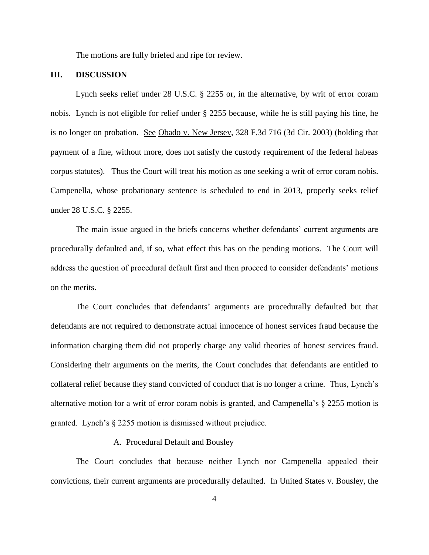The motions are fully briefed and ripe for review.

### **III. DISCUSSION**

Lynch seeks relief under 28 U.S.C. § 2255 or, in the alternative, by writ of error coram nobis. Lynch is not eligible for relief under § 2255 because, while he is still paying his fine, he is no longer on probation. See Obado v. New Jersey, 328 F.3d 716 (3d Cir. 2003) (holding that payment of a fine, without more, does not satisfy the custody requirement of the federal habeas corpus statutes). Thus the Court will treat his motion as one seeking a writ of error coram nobis. Campenella, whose probationary sentence is scheduled to end in 2013, properly seeks relief under 28 U.S.C. § 2255.

The main issue argued in the briefs concerns whether defendants" current arguments are procedurally defaulted and, if so, what effect this has on the pending motions. The Court will address the question of procedural default first and then proceed to consider defendants" motions on the merits.

The Court concludes that defendants' arguments are procedurally defaulted but that defendants are not required to demonstrate actual innocence of honest services fraud because the information charging them did not properly charge any valid theories of honest services fraud. Considering their arguments on the merits, the Court concludes that defendants are entitled to collateral relief because they stand convicted of conduct that is no longer a crime. Thus, Lynch"s alternative motion for a writ of error coram nobis is granted, and Campenella's  $\S$  2255 motion is granted. Lynch"s § 2255 motion is dismissed without prejudice.

#### A. Procedural Default and Bousley

The Court concludes that because neither Lynch nor Campenella appealed their convictions, their current arguments are procedurally defaulted. In United States v. Bousley, the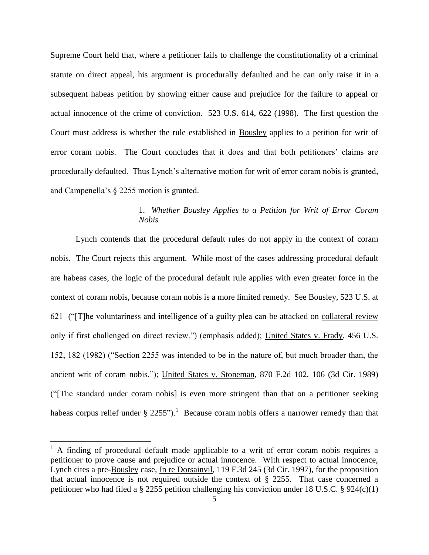Supreme Court held that, where a petitioner fails to challenge the constitutionality of a criminal statute on direct appeal, his argument is procedurally defaulted and he can only raise it in a subsequent habeas petition by showing either cause and prejudice for the failure to appeal or actual innocence of the crime of conviction. 523 U.S. 614, 622 (1998). The first question the Court must address is whether the rule established in Bousley applies to a petition for writ of error coram nobis. The Court concludes that it does and that both petitioners' claims are procedurally defaulted. Thus Lynch"s alternative motion for writ of error coram nobis is granted, and Campenella's  $\S$  2255 motion is granted.

# 1. *Whether Bousley Applies to a Petition for Writ of Error Coram Nobis*

Lynch contends that the procedural default rules do not apply in the context of coram nobis. The Court rejects this argument. While most of the cases addressing procedural default are habeas cases, the logic of the procedural default rule applies with even greater force in the context of coram nobis, because coram nobis is a more limited remedy. See Bousley, 523 U.S. at 621 ("[T]he voluntariness and intelligence of a guilty plea can be attacked on collateral review only if first challenged on direct review.") (emphasis added); United States v. Frady, 456 U.S. 152, 182 (1982) ("Section 2255 was intended to be in the nature of, but much broader than, the ancient writ of coram nobis."); United States v. [Stoneman, 870 F.2d 102, 106](http://www.lexis.com/research/xlink?app=00075&view=full&searchtype=get&search=870+F.2d+102%252520at%252520106%2520at%2520106) (3d Cir. 1989) ("[The standard under coram nobis] is even more stringent than that on a petitioner seeking habeas corpus relief under [§ 2255"](https://www.lexis.com/research/buttonTFLink?_m=7ac4a885527c66b0cb207fe28515317c&_xfercite=%3ccite%20cc%3d%22USA%22%3e%3c%21%5bCDATA%5b870%20F.2d%20102%5d%5d%3e%3c%2fcite%3e&_butType=4&_butStat=0&_butNum=54&_butInline=1&_butinfo=28%20U.S.C.%202255&_fmtstr=FULL&docnum=1&_startdoc=1&wchp=dGLzVzB-zSkAW&_md5=64f0318509809a97e2e1c79f47b8d130)).<sup>1</sup> Because coram nobis offers a narrower remedy than that

 $\overline{\phantom{a}}$ 

 $<sup>1</sup>$  A finding of procedural default made applicable to a writ of error coram nobis requires a</sup> petitioner to prove cause and prejudice or actual innocence. With respect to actual innocence, Lynch cites a pre-Bousley case, In re Dorsainvil, 119 F.3d 245 (3d Cir. 1997), for the proposition that actual innocence is not required outside the context of § 2255. That case concerned a petitioner who had filed a § 2255 petition challenging his conviction under 18 U.S.C. § 924(c)(1)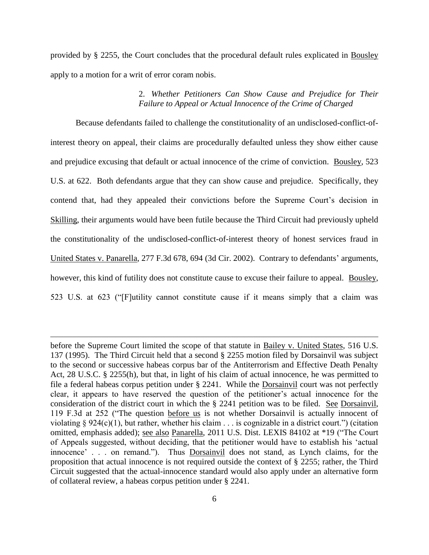provided by § 2255, the Court concludes that the procedural default rules explicated in Bousley apply to a motion for a writ of error coram nobis.

### 2. *Whether Petitioners Can Show Cause and Prejudice for Their Failure to Appeal or Actual Innocence of the Crime of Charged*

Because defendants failed to challenge the constitutionality of an undisclosed-conflict-ofinterest theory on appeal, their claims are procedurally defaulted unless they show either cause and prejudice excusing that default or actual innocence of the crime of conviction. Bousley, 523 U.S. at 622. Both defendants argue that they can show cause and prejudice. Specifically, they contend that, had they appealed their convictions before the Supreme Court's decision in Skilling, their arguments would have been futile because the Third Circuit had previously upheld the constitutionality of the undisclosed-conflict-of-interest theory of honest services fraud in United States v. Panarella, [277 F.3d 678, 694 \(3d Cir. 2002\).](http://www.lexis.com/research/xlink?app=00075&view=full&searchtype=get&search=277+F.3d+678%2520at%2520694) Contrary to defendants' arguments, however, this kind of futility does not constitute cause to excuse their failure to appeal. Bousley, 523 U.S. at 623 ("[F]utility cannot constitute cause if it means simply that a claim was

 $\overline{\phantom{a}}$ 

before the Supreme Court limited the scope of that statute in Bailey v. United States, 516 U.S. [137 \(1995\).](https://www.lexis.com/research/buttonTFLink?_m=5613ef1d231989ce090e444ccad18545&_xfercite=%3ccite%20cc%3d%22USA%22%3e%3c%21%5bCDATA%5b119%20F.3d%20245%5d%5d%3e%3c%2fcite%3e&_butType=3&_butStat=2&_butNum=30&_butInline=1&_butinfo=%3ccite%20cc%3d%22USA%22%3e%3c%21%5bCDATA%5b516%20U.S.%20137%5d%5d%3e%3c%2fcite%3e&_fmtstr=FULL&docnum=1&_startdoc=1&wchp=dGLzVzV-zSkAl&_md5=11f65fe47eb0b6274ce48224ad91d577) The Third Circuit held that a second § 2255 motion filed by Dorsainvil was subject to the second or successive habeas corpus bar of the Antiterrorism and Effective Death Penalty Act, 28 U.S.C. § 2255(h), but that, in light of his claim of actual innocence, he was permitted to file a federal habeas corpus petition under § 2241. While the Dorsainvil court was not perfectly clear, it appears to have reserved the question of the petitioner"s actual innocence for the consideration of the district court in which the § 2241 petition was to be filed. See [Dorsainvil,](http://www.lexis.com/research/xlink?app=00075&view=full&searchtype=get&search=119+F.3d+245%2520at%2520252)  [119 F.3d at 252 \("T](http://www.lexis.com/research/xlink?app=00075&view=full&searchtype=get&search=119+F.3d+245%2520at%2520252)he question before us is not whether Dorsainvil is actually innocent of violating  $\S 924(c)(1)$ , but rather, whether his claim . . . is cognizable in a district court.") (citation omitted, emphasis added); see also Panarella, 2011 U.S. Dist. LEXIS 84102 at \*19 ("The Court of Appeals suggested, without deciding, that the petitioner would have to establish his "actual innocence" . . . on remand."). Thus Dorsainvil does not stand, as Lynch claims, for the proposition that actual innocence is not required outside the context of § 2255; rather, the Third Circuit suggested that the actual-innocence standard would also apply under an alternative form of collateral review, a habeas corpus petition under § 2241.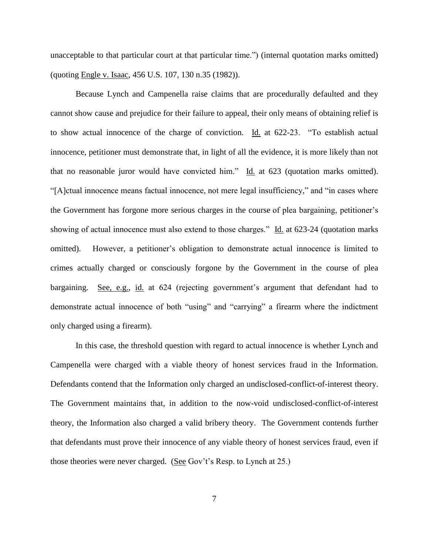unacceptable to that particular court at that particular time.") (internal quotation marks omitted) (quoting Engle v. Isaac, 456 U.S. 107, 130 n.35 (1982)).

Because Lynch and Campenella raise claims that are procedurally defaulted and they cannot show cause and prejudice for their failure to appeal, their only means of obtaining relief is to show actual innocence of the charge of conviction. Id. at 622-23. "To establish actual innocence, petitioner must demonstrate that, in light of all the evidence, it is more likely than not that no reasonable juror would have convicted him." Id. at 623 (quotation marks omitted). "[A]ctual innocence means factual innocence, not mere legal insufficiency," and "in cases where the Government has forgone more serious charges in the course of plea bargaining, petitioner"s showing of actual innocence must also extend to those charges." Id. at 623-24 (quotation marks omitted). However, a petitioner"s obligation to demonstrate actual innocence is limited to crimes actually charged or consciously forgone by the Government in the course of plea bargaining. See, e.g., id. at 624 (rejecting government's argument that defendant had to demonstrate actual innocence of both "using" and "carrying" a firearm where the indictment only charged using a firearm).

In this case, the threshold question with regard to actual innocence is whether Lynch and Campenella were charged with a viable theory of honest services fraud in the Information. Defendants contend that the Information only charged an undisclosed-conflict-of-interest theory. The Government maintains that, in addition to the now-void undisclosed-conflict-of-interest theory, the Information also charged a valid bribery theory. The Government contends further that defendants must prove their innocence of any viable theory of honest services fraud, even if those theories were never charged. (See Gov't's Resp. to Lynch at 25.)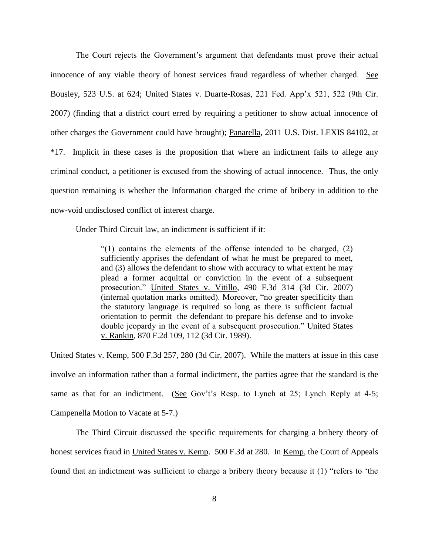The Court rejects the Government's argument that defendants must prove their actual innocence of any viable theory of honest services fraud regardless of whether charged. See Bousley, 523 U.S. at 624; United States v. Duarte-Rosas, 221 Fed. App'x 521, 522 (9th Cir. 2007) (finding that a district court erred by requiring a petitioner to show actual innocence of other charges the Government could have brought); Panarella, 2011 U.S. Dist. LEXIS 84102, at \*17. Implicit in these cases is the proposition that where an indictment fails to allege any criminal conduct, a petitioner is excused from the showing of actual innocence. Thus, the only question remaining is whether the Information charged the crime of bribery in addition to the now-void undisclosed conflict of interest charge.

Under Third Circuit law, an indictment is sufficient if it:

"(1) contains the elements of the offense intended to be charged, (2) sufficiently apprises the defendant of what he must be prepared to meet, and (3) allows the defendant to show with accuracy to what extent he may plead a former acquittal or conviction in the event of a subsequent prosecution." [United States v. Vitillo, 490 F.3d 314 \(3d Cir. 2007\)](https://www.lexis.com/research/buttonTFLink?_m=d58f6bac294b9f93e612067a9d8fe6a4&_xfercite=%3ccite%20cc%3d%22USA%22%3e%3c%21%5bCDATA%5b2011%20U.S.%20App.%20LEXIS%207457%5d%5d%3e%3c%2fcite%3e&_butType=3&_butStat=2&_butNum=107&_butInline=1&_butinfo=%3ccite%20cc%3d%22USA%22%3e%3c%21%5bCDATA%5b490%20F.3d%20314%5d%5d%3e%3c%2fcite%3e&_fmtstr=FULL&docnum=2&_startdoc=1&wchp=dGLzVzS-zSkAA&_md5=828a91f78c65318d14f49b0b1014a719) (internal quotation marks omitted). Moreover, "no greater specificity than the statutory language is required so long as there is sufficient factual orientation to permit the defendant to prepare his defense and to invoke double jeopardy in the event of a subsequent prosecution." [United States](https://www.lexis.com/research/buttonTFLink?_m=d58f6bac294b9f93e612067a9d8fe6a4&_xfercite=%3ccite%20cc%3d%22USA%22%3e%3c%21%5bCDATA%5b2011%20U.S.%20App.%20LEXIS%207457%5d%5d%3e%3c%2fcite%3e&_butType=3&_butStat=2&_butNum=108&_butInline=1&_butinfo=%3ccite%20cc%3d%22USA%22%3e%3c%21%5bCDATA%5b870%20F.2d%20109%2c%20112%5d%5d%3e%3c%2fcite%3e&_fmtstr=FULL&docnum=2&_startdoc=1&wchp=dGLzVzS-zSkAA&_md5=93ff7fa32a3679ef9a0e3b0bbc766242)  [v. Rankin, 870 F.2d 109, 112 \(3d Cir. 1989\).](https://www.lexis.com/research/buttonTFLink?_m=d58f6bac294b9f93e612067a9d8fe6a4&_xfercite=%3ccite%20cc%3d%22USA%22%3e%3c%21%5bCDATA%5b2011%20U.S.%20App.%20LEXIS%207457%5d%5d%3e%3c%2fcite%3e&_butType=3&_butStat=2&_butNum=108&_butInline=1&_butinfo=%3ccite%20cc%3d%22USA%22%3e%3c%21%5bCDATA%5b870%20F.2d%20109%2c%20112%5d%5d%3e%3c%2fcite%3e&_fmtstr=FULL&docnum=2&_startdoc=1&wchp=dGLzVzS-zSkAA&_md5=93ff7fa32a3679ef9a0e3b0bbc766242)

[United States v. Kemp, 500 F.3d 257, 280 \(3d Cir. 2007\).](https://www.lexis.com/research/buttonTFLink?_m=d58f6bac294b9f93e612067a9d8fe6a4&_xfercite=%3ccite%20cc%3d%22USA%22%3e%3c%21%5bCDATA%5b2011%20U.S.%20App.%20LEXIS%207457%5d%5d%3e%3c%2fcite%3e&_butType=3&_butStat=2&_butNum=109&_butInline=1&_butinfo=%3ccite%20cc%3d%22USA%22%3e%3c%21%5bCDATA%5b500%20F.3d%20257%2c%20280%5d%5d%3e%3c%2fcite%3e&_fmtstr=FULL&docnum=2&_startdoc=1&wchp=dGLzVzS-zSkAA&_md5=7c164919e632956db5df46b5a6ec0f78) While the matters at issue in this case involve an information rather than a formal indictment, the parties agree that the standard is the same as that for an indictment. (See Gov't's Resp. to Lynch at 25; Lynch Reply at 4-5; Campenella Motion to Vacate at 5-7.)

The Third Circuit discussed the specific requirements for charging a bribery theory of honest services fraud in United States v. Kemp. 500 F.3d at 280. In Kemp, the Court of Appeals found that an indictment was sufficient to charge a bribery theory because it (1) "refers to "the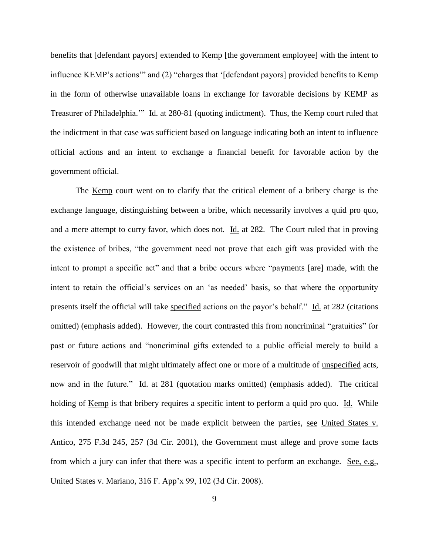benefits that [defendant payors] extended to Kemp [the government employee] with the intent to influence KEMP"s actions"" and (2) "charges that "[defendant payors] provided benefits to Kemp in the form of otherwise unavailable loans in exchange for favorable decisions by KEMP as Treasurer of Philadelphia."" Id. at 280-81 (quoting indictment). Thus, the Kemp court ruled that the indictment in that case was sufficient based on language indicating both an intent to influence official actions and an intent to exchange a financial benefit for favorable action by the government official.

The Kemp court went on to clarify that the critical element of a bribery charge is the exchange language, distinguishing between a bribe, which necessarily involves a quid pro quo, and a mere attempt to curry favor, which does not. Id. at 282. The Court ruled that in proving the existence of bribes, "the government need not prove that each gift was provided with the intent to prompt a specific act" and that a bribe occurs where "payments [are] made, with the intent to retain the official"s services on an "as needed" basis, so that where the opportunity presents itself the official will take specified actions on the payor"s behalf." Id. at 282 (citations omitted) (emphasis added). However, the court contrasted this from noncriminal "gratuities" for past or future actions and "noncriminal gifts extended to a public official merely to build a reservoir of goodwill that might ultimately affect one or more of a multitude of unspecified acts, now and in the future." Id. at 281 (quotation marks omitted) (emphasis added). The critical holding of <u>Kemp</u> is that bribery requires a specific intent to perform a quid pro quo. Id. While this intended exchange need not be made explicit between the parties, see United States v. Antico, 275 F.3d 245, 257 (3d Cir. 2001), the Government must allege and prove some facts from which a jury can infer that there was a specific intent to perform an exchange. See, e.g., United States v. Mariano, 316 F. App"x 99, 102 (3d Cir. 2008).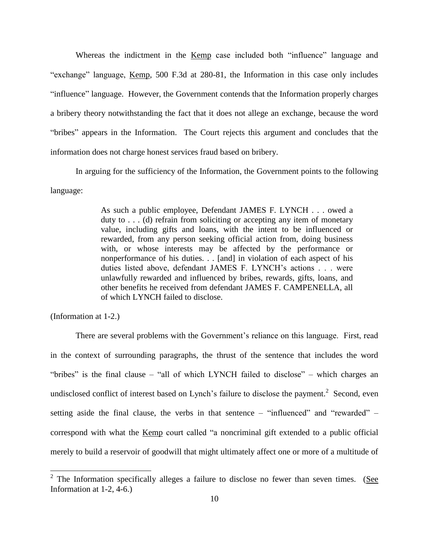Whereas the indictment in the Kemp case included both "influence" language and "exchange" language, Kemp, 500 F.3d at 280-81, the Information in this case only includes "influence" language. However, the Government contends that the Information properly charges a bribery theory notwithstanding the fact that it does not allege an exchange, because the word "bribes" appears in the Information. The Court rejects this argument and concludes that the information does not charge honest services fraud based on bribery.

In arguing for the sufficiency of the Information, the Government points to the following language:

> As such a public employee, Defendant JAMES F. LYNCH . . . owed a duty to  $\dots$  (d) refrain from soliciting or accepting any item of monetary value, including gifts and loans, with the intent to be influenced or rewarded, from any person seeking official action from, doing business with, or whose interests may be affected by the performance or nonperformance of his duties. . . [and] in violation of each aspect of his duties listed above, defendant JAMES F. LYNCH"s actions . . . were unlawfully rewarded and influenced by bribes, rewards, gifts, loans, and other benefits he received from defendant JAMES F. CAMPENELLA, all of which LYNCH failed to disclose.

(Information at 1-2.)

There are several problems with the Government"s reliance on this language. First, read in the context of surrounding paragraphs, the thrust of the sentence that includes the word "bribes" is the final clause – "all of which LYNCH failed to disclose" – which charges an undisclosed conflict of interest based on Lynch's failure to disclose the payment.<sup>2</sup> Second, even setting aside the final clause, the verbs in that sentence – "influenced" and "rewarded" – correspond with what the Kemp court called "a noncriminal gift extended to a public official merely to build a reservoir of goodwill that might ultimately affect one or more of a multitude of

 $\frac{2}{3}$  The Information specifically alleges a failure to disclose no fewer than seven times. (See Information at 1-2, 4-6.)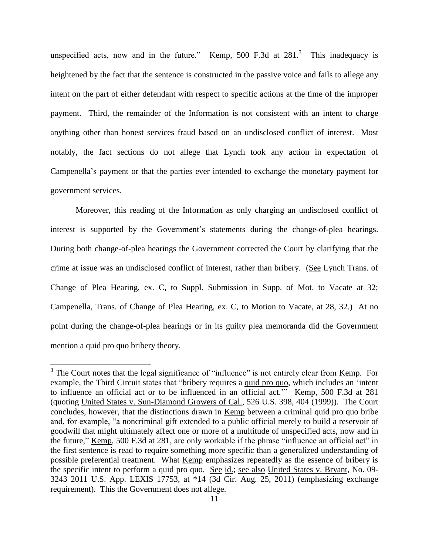unspecified acts, now and in the future." Kemp, 500 F.3d at  $281$ .<sup>3</sup> This inadequacy is heightened by the fact that the sentence is constructed in the passive voice and fails to allege any intent on the part of either defendant with respect to specific actions at the time of the improper payment. Third, the remainder of the Information is not consistent with an intent to charge anything other than honest services fraud based on an undisclosed conflict of interest. Most notably, the fact sections do not allege that Lynch took any action in expectation of Campenella"s payment or that the parties ever intended to exchange the monetary payment for government services.

Moreover, this reading of the Information as only charging an undisclosed conflict of interest is supported by the Government's statements during the change-of-plea hearings. During both change-of-plea hearings the Government corrected the Court by clarifying that the crime at issue was an undisclosed conflict of interest, rather than bribery. (See Lynch Trans. of Change of Plea Hearing, ex. C, to Suppl. Submission in Supp. of Mot. to Vacate at 32; Campenella, Trans. of Change of Plea Hearing, ex. C, to Motion to Vacate, at 28, 32.) At no point during the change-of-plea hearings or in its guilty plea memoranda did the Government mention a quid pro quo bribery theory.

<sup>&</sup>lt;sup>3</sup> The Court notes that the legal significance of "influence" is not entirely clear from <u>Kemp</u>. For example, the Third Circuit states that "bribery requires a quid pro quo, which includes an "intent to influence an official act or to be influenced in an official act."" Kemp, 500 F.3d at 281 (quoting United States v. Sun-Diamond Growers of Cal., 526 U.S. 398, 404 (1999)). The Court concludes, however, that the distinctions drawn in Kemp between a criminal quid pro quo bribe and, for example, "a noncriminal gift extended to a public official merely to build a reservoir of goodwill that might ultimately affect one or more of a multitude of unspecified acts, now and in the future," Kemp, 500 F.3d at 281, are only workable if the phrase "influence an official act" in the first sentence is read to require something more specific than a generalized understanding of possible preferential treatment. What Kemp emphasizes repeatedly as the essence of bribery is the specific intent to perform a quid pro quo. See id.; see also United States v. Bryant, No. 09- 3243 2011 U.S. App. LEXIS 17753, at \*14 (3d Cir. Aug. 25, 2011) (emphasizing exchange requirement). This the Government does not allege.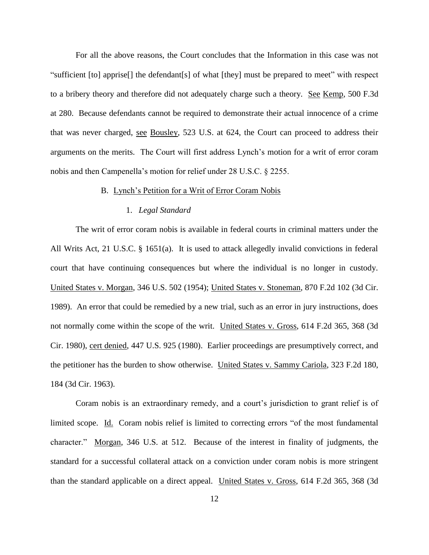For all the above reasons, the Court concludes that the Information in this case was not "sufficient [to] apprise[] the defendant[s] of what [they] must be prepared to meet" with respect to a bribery theory and therefore did not adequately charge such a theory. See Kemp, 500 F.3d at 280. Because defendants cannot be required to demonstrate their actual innocence of a crime that was never charged, see Bousley, 523 U.S. at 624, the Court can proceed to address their arguments on the merits. The Court will first address Lynch"s motion for a writ of error coram nobis and then Campenella"s motion for relief under 28 U.S.C. § 2255.

#### B. Lynch"s Petition for a Writ of Error Coram Nobis

#### 1. *Legal Standard*

The writ of error coram nobis is available in federal courts in criminal matters under the All Writs Act, 21 U.S.C. § 1651(a). It is used to attack allegedly invalid convictions in federal court that have continuing consequences but where the individual is no longer in custody. United States v. Morgan, 346 U.S. 502 (1954); United States v. Stoneman, 870 F.2d 102 (3d Cir. 1989). An error that could be remedied by a new trial, such as an error in jury instructions, does not normally come within the scope of the writ. United States v. Gross, 614 F.2d 365, 368 (3d Cir. 1980), cert denied, 447 U.S. 925 (1980). Earlier proceedings are presumptively correct, and the petitioner has the burden to show otherwise. United States v. Sammy Cariola, 323 F.2d 180, 184 (3d Cir. 1963).

Coram nobis is an extraordinary remedy, and a court"s jurisdiction to grant relief is of limited scope. Id. Coram nobis relief is limited to correcting errors "of the most fundamental character." Morgan, 346 U.S. at 512. Because of the interest in finality of judgments, the standard for a successful collateral attack on a conviction under coram nobis is more stringent than the standard applicable on a direct appeal. United States v. Gross, 614 F.2d 365, 368 (3d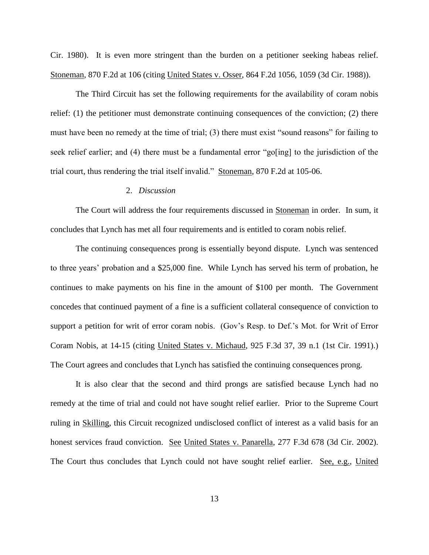Cir. 1980). It is even more stringent than the burden on a petitioner seeking habeas relief. [Stoneman, 870 F.2d at 106](http://www.lexis.com/research/xlink?app=00075&view=full&searchtype=get&search=870+F.2d+102%252520at%252520106%2520at%2520106) (citing United States v. Osser, 864 F.2d 1056, 1059 (3d Cir. 1988)).

The Third Circuit has set the following requirements for the availability of coram nobis relief: (1) the petitioner must demonstrate continuing consequences of the conviction; (2) there must have been no remedy at the time of trial; (3) there must exist "sound reasons" for failing to seek relief earlier; and (4) there must be a fundamental error "go[ing] to the jurisdiction of the trial court, thus rendering the trial itself invalid." [Stoneman, 870 F.2d at 105-06.](http://www.lexis.com/research/xlink?app=00075&view=full&searchtype=get&search=870+F.2d+102%2520at%2520106)

#### 2. *Discussion*

The Court will address the four requirements discussed in Stoneman in order. In sum, it concludes that Lynch has met all four requirements and is entitled to coram nobis relief.

The continuing consequences prong is essentially beyond dispute. Lynch was sentenced to three years" probation and a \$25,000 fine. While Lynch has served his term of probation, he continues to make payments on his fine in the amount of \$100 per month. The Government concedes that continued payment of a fine is a sufficient collateral consequence of conviction to support a petition for writ of error coram nobis. (Gov's Resp. to Def.'s Mot. for Writ of Error Coram Nobis, at 14-15 (citing United States v. Michaud, 925 F.3d 37, 39 n.1 (1st Cir. 1991).) The Court agrees and concludes that Lynch has satisfied the continuing consequences prong.

It is also clear that the second and third prongs are satisfied because Lynch had no remedy at the time of trial and could not have sought relief earlier. Prior to the Supreme Court ruling in Skilling, this Circuit recognized undisclosed conflict of interest as a valid basis for an honest services fraud conviction. See United States v. Panarella, 277 F.3d 678 (3d Cir. 2002). The Court thus concludes that Lynch could not have sought relief earlier. See, e.g., United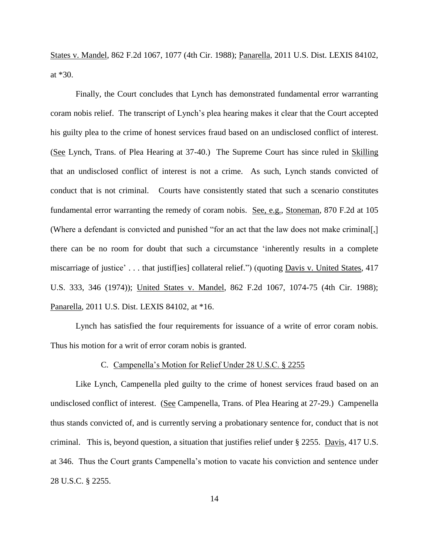States v. Mandel, 862 F.2d 1067, 1077 (4th Cir. 1988); Panarella, 2011 U.S. Dist. LEXIS 84102, at \*30.

Finally, the Court concludes that Lynch has demonstrated fundamental error warranting coram nobis relief. The transcript of Lynch"s plea hearing makes it clear that the Court accepted his guilty plea to the crime of honest services fraud based on an undisclosed conflict of interest. (See Lynch, Trans. of Plea Hearing at 37-40.) The Supreme Court has since ruled in Skilling that an undisclosed conflict of interest is not a crime. As such, Lynch stands convicted of conduct that is not criminal. Courts have consistently stated that such a scenario constitutes fundamental error warranting the remedy of coram nobis. See, e.g., Stoneman, 870 F.2d at 105 (Where a defendant is convicted and punished "for an act that the law does not make criminal[,] there can be no room for doubt that such a circumstance "inherently results in a complete miscarriage of justice'... that justiffies] collateral relief.") (quoting Davis v. United States, 417 U.S. 333, 346 (1974)); United States v. Mandel, 862 F.2d 1067, 1074-75 (4th Cir. 1988); Panarella, 2011 U.S. Dist. LEXIS 84102, at \*16.

Lynch has satisfied the four requirements for issuance of a write of error coram nobis. Thus his motion for a writ of error coram nobis is granted.

#### C. Campenella"s Motion for Relief Under 28 U.S.C. § 2255

Like Lynch, Campenella pled guilty to the crime of honest services fraud based on an undisclosed conflict of interest. (See Campenella, Trans. of Plea Hearing at 27-29.) Campenella thus stands convicted of, and is currently serving a probationary sentence for, conduct that is not criminal. This is, beyond question, a situation that justifies relief under § 2255. Davis, 417 U.S. at 346. Thus the Court grants Campenella"s motion to vacate his conviction and sentence under 28 U.S.C. § 2255.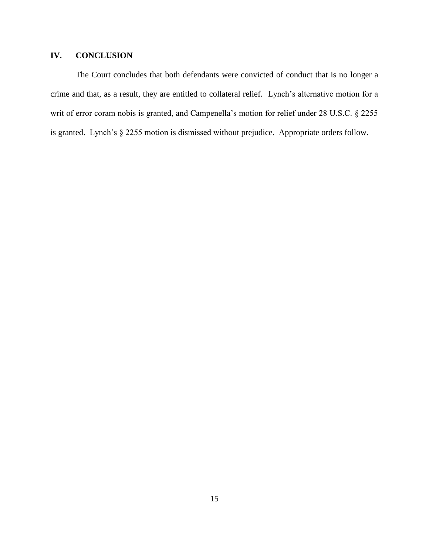# **IV. CONCLUSION**

The Court concludes that both defendants were convicted of conduct that is no longer a crime and that, as a result, they are entitled to collateral relief. Lynch"s alternative motion for a writ of error coram nobis is granted, and Campenella's motion for relief under 28 U.S.C. § 2255 is granted. Lynch"s § 2255 motion is dismissed without prejudice. Appropriate orders follow.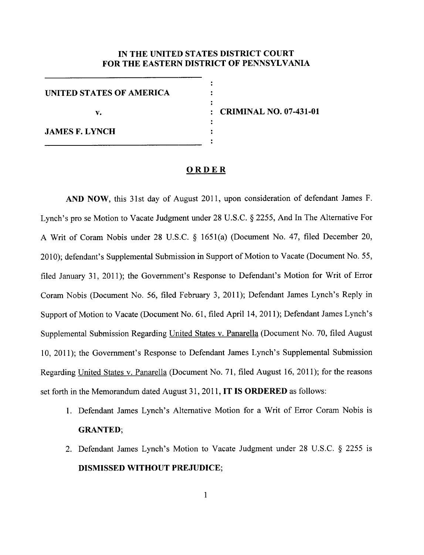#### IN THE UNITED STATES DISTRICT COURT **FOR THE EASTERN DISTRICT OF PENNSYLVANIA**

 $\ddot{\cdot}$ 

٠

**UNITED STATES OF AMERICA** v. **JAMES F. LYNCH** 

**CRIMINAL NO. 07-431-01** 

#### ORDER

AND NOW, this 31st day of August 2011, upon consideration of defendant James F. Lynch's pro se Motion to Vacate Judgment under 28 U.S.C. § 2255, And In The Alternative For A Writ of Coram Nobis under 28 U.S.C. § 1651(a) (Document No. 47, filed December 20, 2010); defendant's Supplemental Submission in Support of Motion to Vacate (Document No. 55, filed January 31, 2011); the Government's Response to Defendant's Motion for Writ of Error Coram Nobis (Document No. 56, filed February 3, 2011); Defendant James Lynch's Reply in Support of Motion to Vacate (Document No. 61, filed April 14, 2011); Defendant James Lynch's Supplemental Submission Regarding United States v. Panarella (Document No. 70, filed August 10, 2011); the Government's Response to Defendant James Lynch's Supplemental Submission Regarding United States v. Panarella (Document No. 71, filed August 16, 2011); for the reasons set forth in the Memorandum dated August 31, 2011, IT IS ORDERED as follows:

- 1. Defendant James Lynch's Alternative Motion for a Writ of Error Coram Nobis is **GRANTED;**
- 2. Defendant James Lynch's Motion to Vacate Judgment under 28 U.S.C. § 2255 is **DISMISSED WITHOUT PREJUDICE;**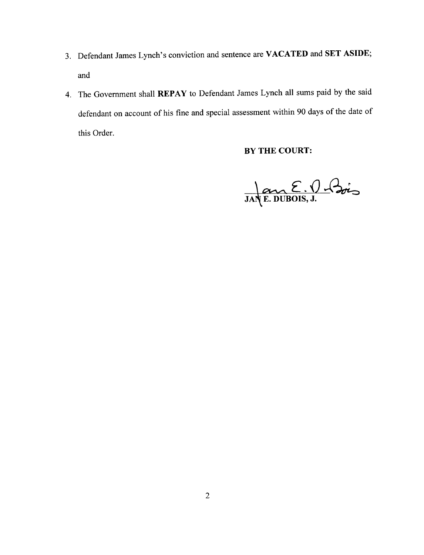- 3. Defendant James Lynch's conviction and sentence are VACATED and SET ASIDE; and
- 4. The Government shall REPAY to Defendant James Lynch all sums paid by the said defendant on account of his fine and special assessment within 90 days of the date of this Order.

# BY THE COURT:

JANE DUBOIS, J.